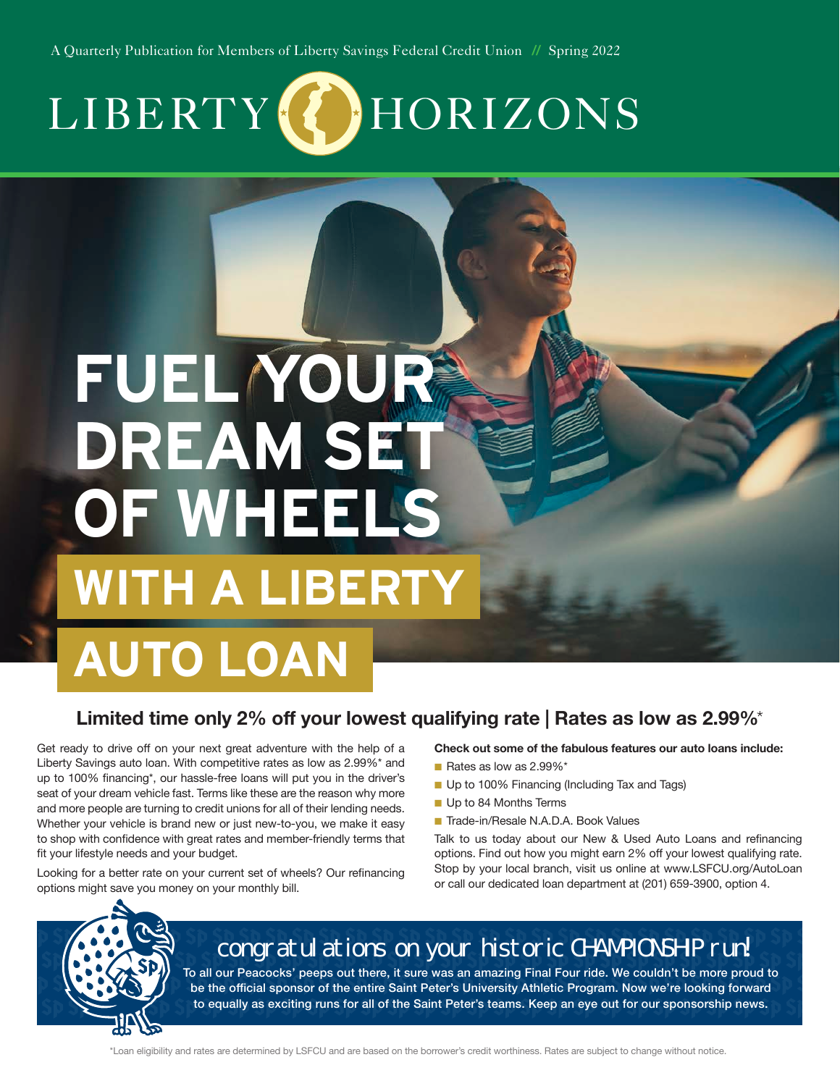A Quarterly Publication for Members of Liberty Savings Federal Credit Union *//* Spring 2022



# **FUEL YOUR DREAM SET OF WHEELS WITH A LIBERTY**

# **AUTO LOAN**

#### **Limited time only 2% off your lowest qualifying rate | Rates as low as 2.99%**\*

Get ready to drive off on your next great adventure with the help of a Liberty Savings auto loan. With competitive rates as low as 2.99%\* and up to 100% financing\*, our hassle-free loans will put you in the driver's seat of your dream vehicle fast. Terms like these are the reason why more and more people are turning to credit unions for all of their lending needs. Whether your vehicle is brand new or just new-to-you, we make it easy to shop with confidence with great rates and member-friendly terms that fit your lifestyle needs and your budget.

Looking for a better rate on your current set of wheels? Our refinancing options might save you money on your monthly bill.

#### **Check out some of the fabulous features our auto loans include:**

- n Rates as low as 2.99%\*
- **n** Up to 100% Financing (Including Tax and Tags)
- **D** Up to 84 Months Terms
- Trade-in/Resale N.A.D.A. Book Values

Talk to us today about our New & Used Auto Loans and refinancing options. Find out how you might earn 2% off your lowest qualifying rate. Stop by your local branch, visit us online at www.LSFCU.org/AutoLoan or call our dedicated loan department at (201) 659-3900, option 4.



## congratulations on your historic CHAMPIONSHIP run

To all our Peacocks' peeps out there, it sure was an amazing Final Four ride. We couldn't be more proud to be the official sponsor of the entire Saint Peter's University Athletic Program. Now we're looking forward to equally as exciting runs for all of the Saint Peter's teams. Keep an eye out for our sponsorship news.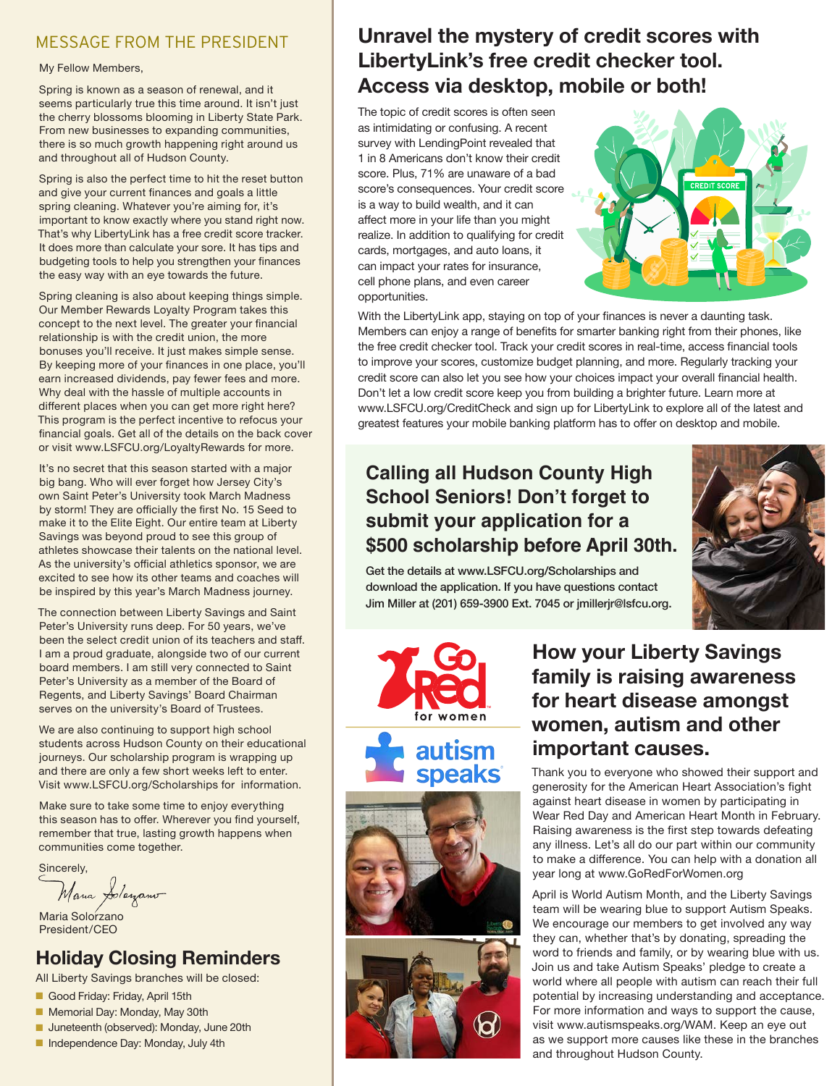#### MESSAGE FROM THE PRESIDENT

#### My Fellow Members,

Spring is known as a season of renewal, and it seems particularly true this time around. It isn't just the cherry blossoms blooming in Liberty State Park. From new businesses to expanding communities, there is so much growth happening right around us and throughout all of Hudson County.

Spring is also the perfect time to hit the reset button and give your current finances and goals a little spring cleaning. Whatever you're aiming for, it's important to know exactly where you stand right now. That's why LibertyLink has a free credit score tracker. It does more than calculate your sore. It has tips and budgeting tools to help you strengthen your finances the easy way with an eye towards the future.

Spring cleaning is also about keeping things simple. Our Member Rewards Loyalty Program takes this concept to the next level. The greater your financial relationship is with the credit union, the more bonuses you'll receive. It just makes simple sense. By keeping more of your finances in one place, you'll earn increased dividends, pay fewer fees and more. Why deal with the hassle of multiple accounts in different places when you can get more right here? This program is the perfect incentive to refocus your financial goals. Get all of the details on the back cover or visit www.LSFCU.org/LoyaltyRewards for more.

It's no secret that this season started with a major big bang. Who will ever forget how Jersey City's own Saint Peter's University took March Madness by storm! They are officially the first No. 15 Seed to make it to the Elite Eight. Our entire team at Liberty Savings was beyond proud to see this group of athletes showcase their talents on the national level. As the university's official athletics sponsor, we are excited to see how its other teams and coaches will be inspired by this year's March Madness journey.

The connection between Liberty Savings and Saint Peter's University runs deep. For 50 years, we've been the select credit union of its teachers and staff. I am a proud graduate, alongside two of our current board members. I am still very connected to Saint Peter's University as a member of the Board of Regents, and Liberty Savings' Board Chairman serves on the university's Board of Trustees.

We are also continuing to support high school students across Hudson County on their educational journeys. Our scholarship program is wrapping up and there are only a few short weeks left to enter. Visit www.LSFCU.org/Scholarships for information.

Make sure to take some time to enjoy everything this season has to offer. Wherever you find yourself, remember that true, lasting growth happens when communities come together.

Sincerely,

Mana Jolayano

Maria Solorzano President/CEO

#### **Holiday Closing Reminders**

All Liberty Savings branches will be closed:

- Good Friday: Friday, April 15th
- Memorial Day: Monday, May 30th
- **n** Juneteenth (observed): Monday, June 20th
- n Independence Day: Monday, July 4th

### **Unravel the mystery of credit scores with LibertyLink's free credit checker tool. Access via desktop, mobile or both!**

The topic of credit scores is often seen as intimidating or confusing. A recent survey with LendingPoint revealed that 1 in 8 Americans don't know their credit score. Plus, 71% are unaware of a bad score's consequences. Your credit score is a way to build wealth, and it can affect more in your life than you might realize. In addition to qualifying for credit cards, mortgages, and auto loans, it can impact your rates for insurance, cell phone plans, and even career opportunities.



With the LibertyLink app, staying on top of your finances is never a daunting task. Members can enjoy a range of benefits for smarter banking right from their phones, like the free credit checker tool. Track your credit scores in real-time, access financial tools to improve your scores, customize budget planning, and more. Regularly tracking your credit score can also let you see how your choices impact your overall financial health. Don't let a low credit score keep you from building a brighter future. Learn more at www.LSFCU.org/CreditCheck and sign up for LibertyLink to explore all of the latest and greatest features your mobile banking platform has to offer on desktop and mobile.

#### **Calling all Hudson County High School Seniors! Don't forget to submit your application for a \$500 scholarship before April 30th.**



Get the details at www.LSFCU.org/Scholarships and download the application. If you have questions contact Jim Miller at (201) 659-3900 Ext. 7045 or jmillerjr@lsfcu.org.







#### **How your Liberty Savings family is raising awareness for heart disease amongst women, autism and other important causes.**

Thank you to everyone who showed their support and generosity for the American Heart Association's fight against heart disease in women by participating in Wear Red Day and American Heart Month in February. Raising awareness is the first step towards defeating any illness. Let's all do our part within our community to make a difference. You can help with a donation all year long at www.GoRedForWomen.org

April is World Autism Month, and the Liberty Savings team will be wearing blue to support Autism Speaks. We encourage our members to get involved any way they can, whether that's by donating, spreading the word to friends and family, or by wearing blue with us. Join us and take Autism Speaks' pledge to create a world where all people with autism can reach their full potential by increasing understanding and acceptance. For more information and ways to support the cause, visit www.autismspeaks.org/WAM. Keep an eye out as we support more causes like these in the branches and throughout Hudson County.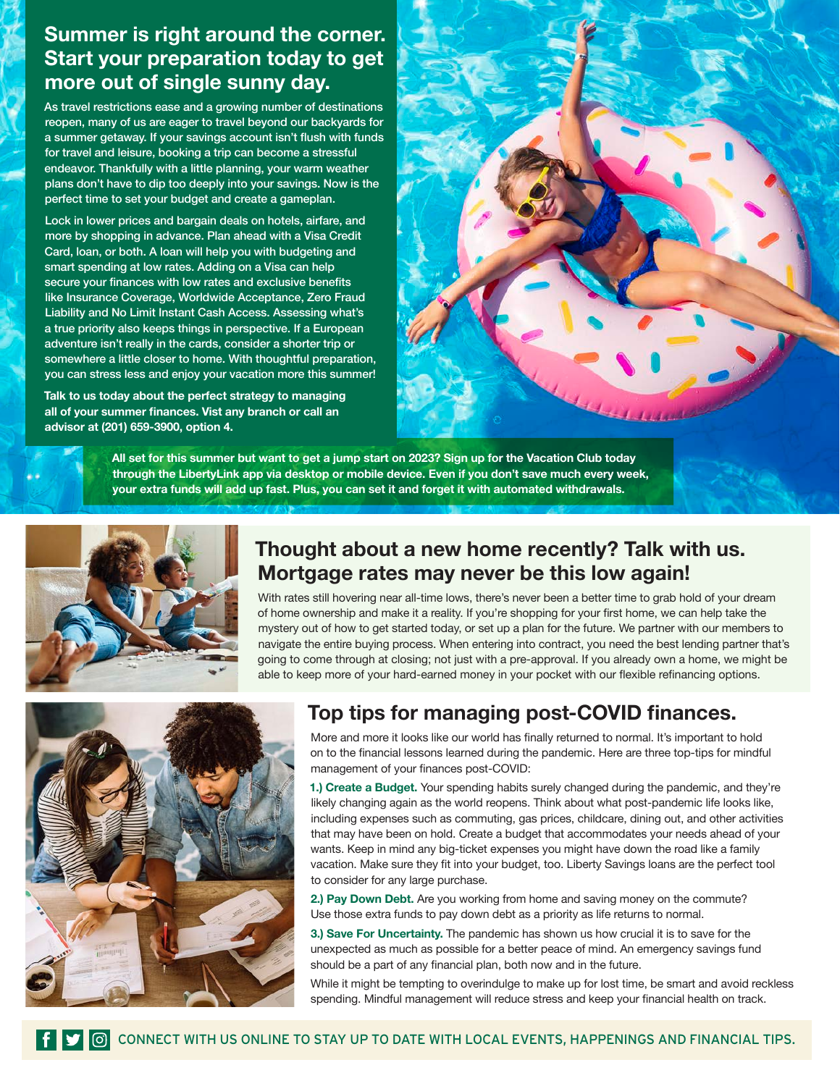#### **Summer is right around the corner. Start your preparation today to get more out of single sunny day.**

As travel restrictions ease and a growing number of destinations reopen, many of us are eager to travel beyond our backyards for a summer getaway. If your savings account isn't flush with funds for travel and leisure, booking a trip can become a stressful endeavor. Thankfully with a little planning, your warm weather plans don't have to dip too deeply into your savings. Now is the perfect time to set your budget and create a gameplan.

Lock in lower prices and bargain deals on hotels, airfare, and more by shopping in advance. Plan ahead with a Visa Credit Card, loan, or both. A loan will help you with budgeting and smart spending at low rates. Adding on a Visa can help secure your finances with low rates and exclusive benefits like Insurance Coverage, Worldwide Acceptance, Zero Fraud Liability and No Limit Instant Cash Access. Assessing what's a true priority also keeps things in perspective. If a European adventure isn't really in the cards, consider a shorter trip or somewhere a little closer to home. With thoughtful preparation, you can stress less and enjoy your vacation more this summer!

**Talk to us today about the perfect strategy to managing all of your summer finances. Vist any branch or call an advisor at (201) 659-3900, option 4.**



**All set for this summer but want to get a jump start on 2023? Sign up for the Vacation Club today through the LibertyLink app via desktop or mobile device. Even if you don't save much every week, your extra funds will add up fast. Plus, you can set it and forget it with automated withdrawals.** 



#### **Thought about a new home recently? Talk with us. Mortgage rates may never be this low again!**

With rates still hovering near all-time lows, there's never been a better time to grab hold of your dream of home ownership and make it a reality. If you're shopping for your first home, we can help take the mystery out of how to get started today, or set up a plan for the future. We partner with our members to navigate the entire buying process. When entering into contract, you need the best lending partner that's going to come through at closing; not just with a pre-approval. If you already own a home, we might be able to keep more of your hard-earned money in your pocket with our flexible refinancing options.



### **Top tips for managing post-COVID finances.**

More and more it looks like our world has finally returned to normal. It's important to hold on to the financial lessons learned during the pandemic. Here are three top-tips for mindful management of your finances post-COVID:

**1.) Create a Budget.** Your spending habits surely changed during the pandemic, and they're likely changing again as the world reopens. Think about what post-pandemic life looks like, including expenses such as commuting, gas prices, childcare, dining out, and other activities that may have been on hold. Create a budget that accommodates your needs ahead of your wants. Keep in mind any big-ticket expenses you might have down the road like a family vacation. Make sure they fit into your budget, too. Liberty Savings loans are the perfect tool to consider for any large purchase.

**2.) Pay Down Debt.** Are you working from home and saving money on the commute? Use those extra funds to pay down debt as a priority as life returns to normal.

**3.) Save For Uncertainty.** The pandemic has shown us how crucial it is to save for the unexpected as much as possible for a better peace of mind. An emergency savings fund should be a part of any financial plan, both now and in the future.

While it might be tempting to overindulge to make up for lost time, be smart and avoid reckless spending. Mindful management will reduce stress and keep your financial health on track.